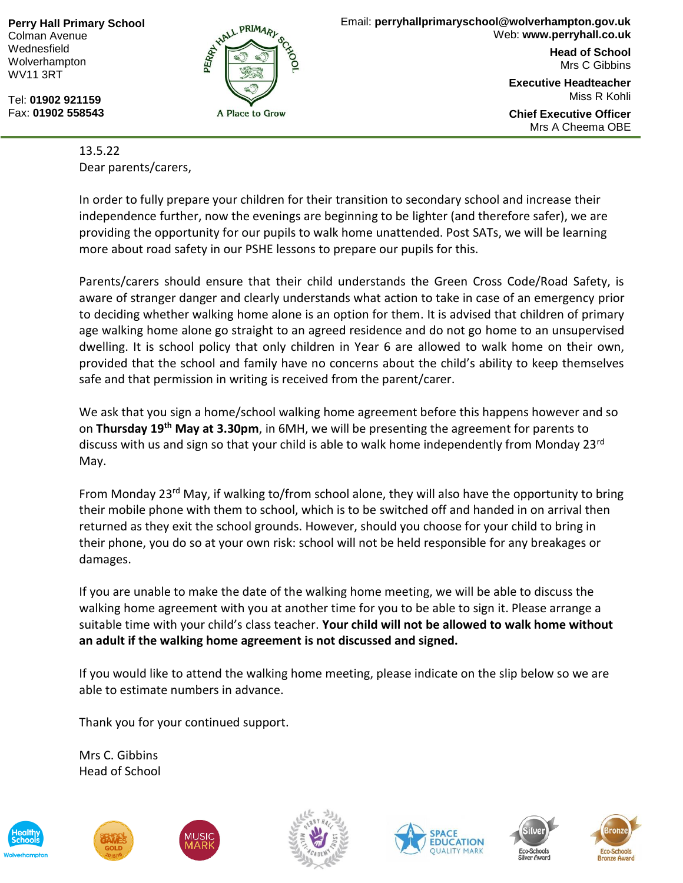**Perry Hall Primary School** Colman Avenue Wednesfield Wolverhampton WV11 3RT

Tel: **01902 921159** Fax: **01902 558543**



**Head of School** Mrs C Gibbins

**Executive Headteacher** Miss R Kohli

**Chief Executive Officer** Mrs A Cheema OBE

13.5.22 Dear parents/carers,

In order to fully prepare your children for their transition to secondary school and increase their independence further, now the evenings are beginning to be lighter (and therefore safer), we are providing the opportunity for our pupils to walk home unattended. Post SATs, we will be learning more about road safety in our PSHE lessons to prepare our pupils for this.

Parents/carers should ensure that their child understands the Green Cross Code/Road Safety, is aware of stranger danger and clearly understands what action to take in case of an emergency prior to deciding whether walking home alone is an option for them. It is advised that children of primary age walking home alone go straight to an agreed residence and do not go home to an unsupervised dwelling. It is school policy that only children in Year 6 are allowed to walk home on their own, provided that the school and family have no concerns about the child's ability to keep themselves safe and that permission in writing is received from the parent/carer.

We ask that you sign a home/school walking home agreement before this happens however and so on **Thursday 19th May at 3.30pm**, in 6MH, we will be presenting the agreement for parents to discuss with us and sign so that your child is able to walk home independently from Monday 23rd May.

From Monday 23<sup>rd</sup> May, if walking to/from school alone, they will also have the opportunity to bring their mobile phone with them to school, which is to be switched off and handed in on arrival then returned as they exit the school grounds. However, should you choose for your child to bring in their phone, you do so at your own risk: school will not be held responsible for any breakages or damages.

If you are unable to make the date of the walking home meeting, we will be able to discuss the walking home agreement with you at another time for you to be able to sign it. Please arrange a suitable time with your child's class teacher. **Your child will not be allowed to walk home without an adult if the walking home agreement is not discussed and signed.**

If you would like to attend the walking home meeting, please indicate on the slip below so we are able to estimate numbers in advance.

Thank you for your continued support.

Mrs C. Gibbins Head of School